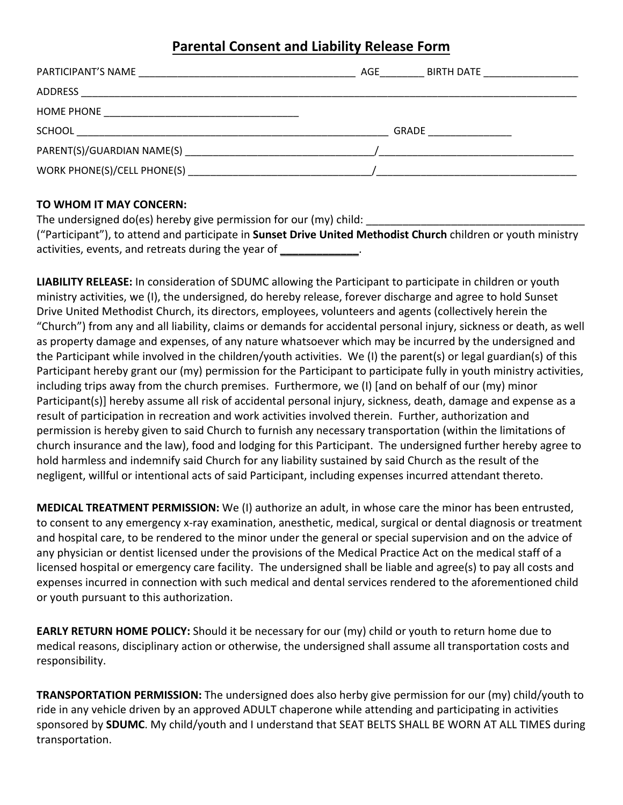## **Parental Consent and Liability Release Form**

| PARTICIPANT'S NAME<br><u> 1989 - Johann Stein, mars an deutscher Stein und der Stein und der Stein und der Stein und der Stein und der</u>                                                                                                         | AGE<br>BIRTH DATE ____________________ |
|----------------------------------------------------------------------------------------------------------------------------------------------------------------------------------------------------------------------------------------------------|----------------------------------------|
| ADDRESS                                                                                                                                                                                                                                            |                                        |
| <b>HOME PHONE</b><br>the control of the control of the control of the control of the control of the control of the control of the control of the control of the control of the control of the control of the control of the control of the control |                                        |
| <b>SCHOOL</b>                                                                                                                                                                                                                                      | GRADE                                  |
| PARENT(S)/GUARDIAN NAME(S)                                                                                                                                                                                                                         |                                        |
| WORK PHONE(S)/CELL PHONE(S)                                                                                                                                                                                                                        |                                        |

## **TO WHOM IT MAY CONCERN:**

The undersigned do(es) hereby give permission for our (my) child: ("Participant"), to attend and participate in **Sunset Drive United Methodist Church** children or youth ministry activities, events, and retreats during the year of **\_\_\_\_\_\_\_\_\_\_\_\_\_**.

**LIABILITY RELEASE:** In consideration of SDUMC allowing the Participant to participate in children or youth ministry activities, we (I), the undersigned, do hereby release, forever discharge and agree to hold Sunset Drive United Methodist Church, its directors, employees, volunteers and agents (collectively herein the "Church") from any and all liability, claims or demands for accidental personal injury, sickness or death, as well as property damage and expenses, of any nature whatsoever which may be incurred by the undersigned and the Participant while involved in the children/youth activities. We (I) the parent(s) or legal guardian(s) of this Participant hereby grant our (my) permission for the Participant to participate fully in youth ministry activities, including trips away from the church premises. Furthermore, we (I) [and on behalf of our (my) minor Participant(s)] hereby assume all risk of accidental personal injury, sickness, death, damage and expense as a result of participation in recreation and work activities involved therein. Further, authorization and permission is hereby given to said Church to furnish any necessary transportation (within the limitations of church insurance and the law), food and lodging for this Participant. The undersigned further hereby agree to hold harmless and indemnify said Church for any liability sustained by said Church as the result of the negligent, willful or intentional acts of said Participant, including expenses incurred attendant thereto.

**MEDICAL TREATMENT PERMISSION:** We (I) authorize an adult, in whose care the minor has been entrusted, to consent to any emergency x-ray examination, anesthetic, medical, surgical or dental diagnosis or treatment and hospital care, to be rendered to the minor under the general or special supervision and on the advice of any physician or dentist licensed under the provisions of the Medical Practice Act on the medical staff of a licensed hospital or emergency care facility. The undersigned shall be liable and agree(s) to pay all costs and expenses incurred in connection with such medical and dental services rendered to the aforementioned child or youth pursuant to this authorization.

**EARLY RETURN HOME POLICY:** Should it be necessary for our (my) child or youth to return home due to medical reasons, disciplinary action or otherwise, the undersigned shall assume all transportation costs and responsibility.

**TRANSPORTATION PERMISSION:** The undersigned does also herby give permission for our (my) child/youth to ride in any vehicle driven by an approved ADULT chaperone while attending and participating in activities sponsored by **SDUMC**. My child/youth and I understand that SEAT BELTS SHALL BE WORN AT ALL TIMES during transportation.